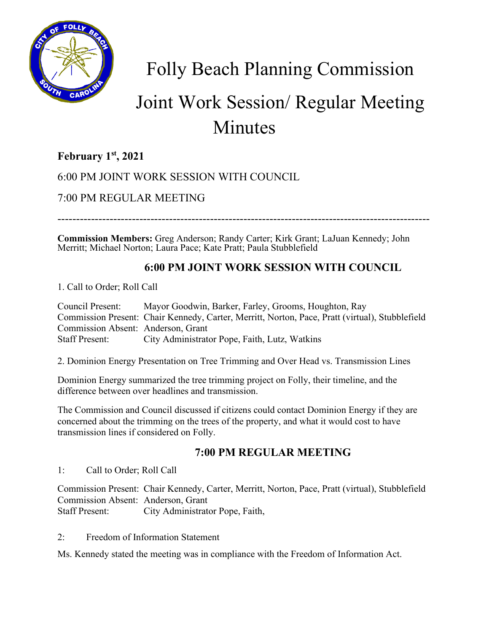

Folly Beach Planning Commission

# Joint Work Session/ Regular Meeting Minutes

## **February 1st, 2021**

6:00 PM JOINT WORK SESSION WITH COUNCIL

7:00 PM REGULAR MEETING

----------------------------------------------------------------------------------------------------

**Commission Members:** Greg Anderson; Randy Carter; Kirk Grant; LaJuan Kennedy; John Merritt; Michael Norton; Laura Pace; Kate Pratt; Paula Stubblefield

### **6:00 PM JOINT WORK SESSION WITH COUNCIL**

1. Call to Order; Roll Call

Council Present: Mayor Goodwin, Barker, Farley, Grooms, Houghton, Ray Commission Present: Chair Kennedy, Carter, Merritt, Norton, Pace, Pratt (virtual), Stubblefield Commission Absent: Anderson, Grant Staff Present: City Administrator Pope, Faith, Lutz, Watkins

2. Dominion Energy Presentation on Tree Trimming and Over Head vs. Transmission Lines

Dominion Energy summarized the tree trimming project on Folly, their timeline, and the difference between over headlines and transmission.

The Commission and Council discussed if citizens could contact Dominion Energy if they are concerned about the trimming on the trees of the property, and what it would cost to have transmission lines if considered on Folly.

### **7:00 PM REGULAR MEETING**

1: Call to Order; Roll Call

Commission Present: Chair Kennedy, Carter, Merritt, Norton, Pace, Pratt (virtual), Stubblefield Commission Absent: Anderson, Grant Staff Present: City Administrator Pope, Faith,

2: Freedom of Information Statement

Ms. Kennedy stated the meeting was in compliance with the Freedom of Information Act.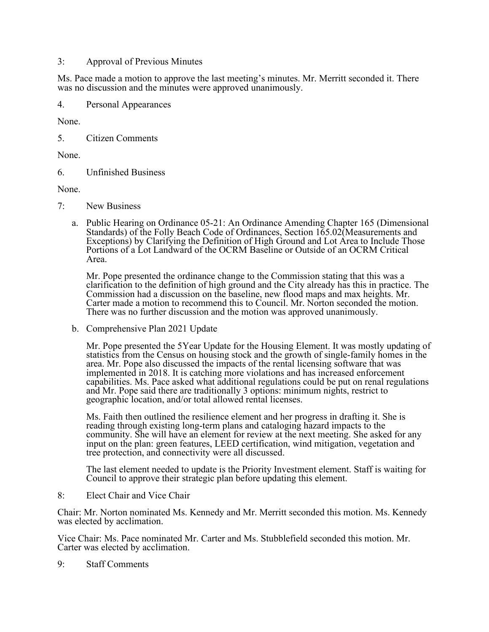#### 3: Approval of Previous Minutes

Ms. Pace made a motion to approve the last meeting's minutes. Mr. Merritt seconded it. There was no discussion and the minutes were approved unanimously.

4. Personal Appearances

None.

5. Citizen Comments

None.

6. Unfinished Business

None.

- 7: New Business
	- a. Public Hearing on Ordinance 05-21: An Ordinance Amending Chapter 165 (Dimensional Standards) of the Folly Beach Code of Ordinances, Section 165.02(Measurements and Exceptions) by Clarifying the Definition of High Ground and Lot Area to Include Those Portions of a Lot Landward of the OCRM Baseline or Outside of an OCRM Critical Area.

Mr. Pope presented the ordinance change to the Commission stating that this was a clarification to the definition of high ground and the City already has this in practice. The Commission had a discussion on the baseline, new flood maps and max heights. Mr. Carter made a motion to recommend this to Council. Mr. Norton seconded the motion. There was no further discussion and the motion was approved unanimously.

b. Comprehensive Plan 2021 Update

Mr. Pope presented the 5Year Update for the Housing Element. It was mostly updating of statistics from the Census on housing stock and the growth of single-family homes in the area. Mr. Pope also discussed the impacts of the rental licensing software that was implemented in 2018. It is catching more violations and has increased enforcement capabilities. Ms. Pace asked what additional regulations could be put on renal regulations and Mr. Pope said there are traditionally 3 options: minimum nights, restrict to geographic location, and/or total allowed rental licenses.

Ms. Faith then outlined the resilience element and her progress in drafting it. She is reading through existing long-term plans and cataloging hazard impacts to the community. She will have an element for review at the next meeting. She asked for any input on the plan: green features, LEED certification, wind mitigation, vegetation and tree protection, and connectivity were all discussed.

The last element needed to update is the Priority Investment element. Staff is waiting for Council to approve their strategic plan before updating this element.

8: Elect Chair and Vice Chair

Chair: Mr. Norton nominated Ms. Kennedy and Mr. Merritt seconded this motion. Ms. Kennedy was elected by acclimation.

Vice Chair: Ms. Pace nominated Mr. Carter and Ms. Stubblefield seconded this motion. Mr. Carter was elected by acclimation.

9: Staff Comments